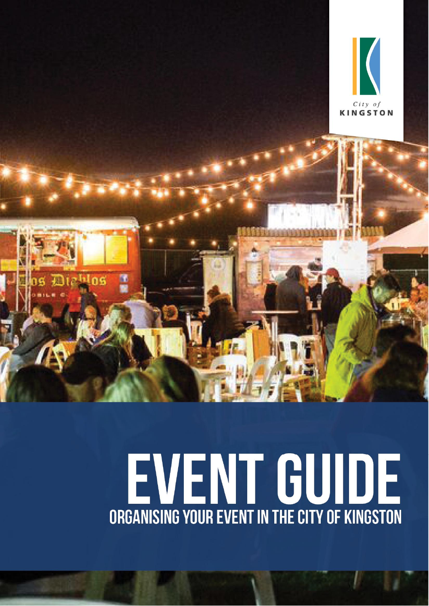

# EVENT GUIDE **ORGANISING YOUR EVENT IN THE CITY OF KINGSTON**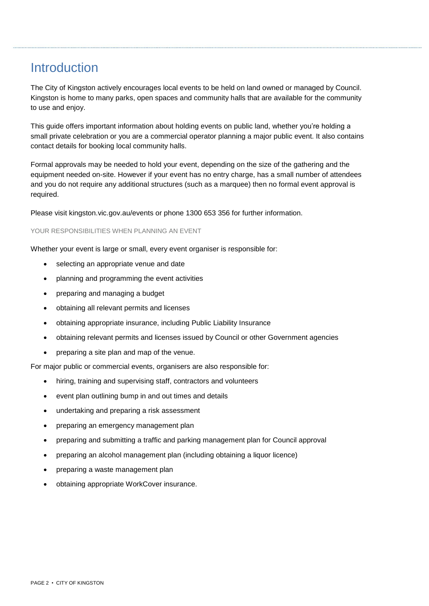## **Introduction**

The City of Kingston actively encourages local events to be held on land owned or managed by Council. Kingston is home to many parks, open spaces and community halls that are available for the community to use and enjoy.

This guide offers important information about holding events on public land, whether you're holding a small private celebration or you are a commercial operator planning a major public event. It also contains contact details for booking local community halls.

Formal approvals may be needed to hold your event, depending on the size of the gathering and the equipment needed on-site. However if your event has no entry charge, has a small number of attendees and you do not require any additional structures (such as a marquee) then no formal event approval is required.

Please visit kingston.vic.gov.au/events or phone 1300 653 356 for further information.

#### YOUR RESPONSIBILITIES WHEN PLANNING AN EVENT

Whether your event is large or small, every event organiser is responsible for:

- selecting an appropriate venue and date  $\overline{\phantom{a}}$
- planning and programming the event activities  $\overline{\phantom{a}}$
- preparing and managing a budget
- obtaining all relevant permits and licenses  $\overline{\phantom{a}}$
- obtaining appropriate insurance, including Public Liability Insurance  $\overline{\phantom{a}}$
- obtaining relevant permits and licenses issued by Council or other Government agencies  $\overline{\phantom{a}}$
- preparing a site plan and map of the venue.

For major public or commercial events, organisers are also responsible for:

- hiring, training and supervising staff, contractors and volunteers  $\overline{\phantom{a}}$
- event plan outlining bump in and out times and details  $\overline{\phantom{a}}$
- undertaking and preparing a risk assessment
- preparing an emergency management plan  $\bullet$
- preparing and submitting a traffic and parking management plan for Council approval
- preparing an alcohol management plan (including obtaining a liquor licence)
- preparing a waste management plan  $\overline{\phantom{a}}$
- obtaining appropriate WorkCover insurance.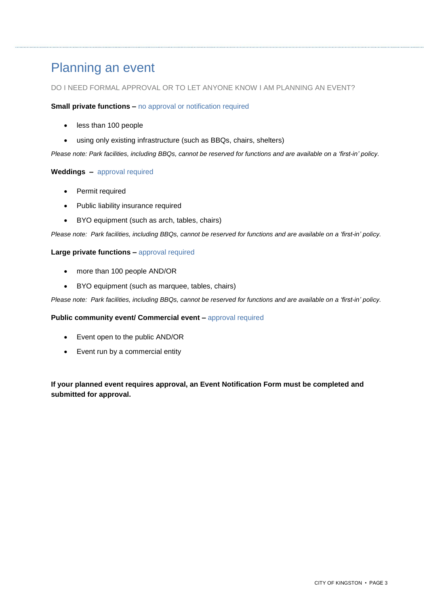### Planning an event

# DO I NEED FORMAL APPROVAL OR TO LET ANYONE KNOW I AM PLANNING AN EVENT? **Small private functions <sup>ñ</sup>** no approval or notification required

#### **Small private functions - no approval or notification required**

- less than 100 people
- using only existing infrastructure (such as BBQs, chairs, shelters)

Please note: Park facilities, including BBQs, cannot be reserved for functions and are available on <sup>a</sup> *ëfirst*-in*<sup>í</sup> policy. Please note: Park facilities, including BBQs, c.*<br>Weddings – approval required

#### **Weddings** - approval required

- Permit required
- Public liability insurance required
- BYO equipment (such as arch, tables, chairs)

Please note: Park facilities, including BBQs, cannot be reserved for functions and are available on <sup>a</sup> *ëfirst*-in*<sup>í</sup> policy. Please note: Park facilities, including BBQs, cannot be rese*<br>Large private functions – approval required

#### Large private functions - approval required

- more than 100 people AND/OR
- BYO equipment (such as marquee, tables, chairs)

Please note: Park facilities, including BBQs, cannot be reserved for functions and are available on <sup>a</sup> *ëfirst*-in*<sup>í</sup> policy.* Please note: Park facilities, including BBQs, cannot be reserved for functions and ar<br>**Public community event/ Commercial event –** approval required

#### Public community event/ Commercial event - approval required

- Event open to the public AND/OR
- Event run by a commercial entity

#### **If your planned event requires approval, an Event Notification Form must be completed and submitted forapproval.**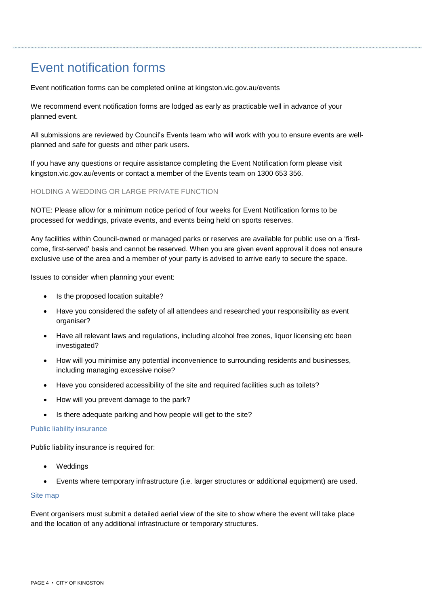# Event notification forms

Event notification forms can be completed online at kingston.vic.gov.au/events

We recommend event notification forms are lodged as early as practicable well in advance of your planned event.

All submissions are reviewed by Council's Events team who will work with you to ensure events are wellplanned and safe for guests and other park users.

If you have any questions orrequire assistance completing the Event Notification form please visit kingston.vic.gov.au/events or contact a member of the Events team on 1300 653 356.

#### HOLDING A WEDDING OR LARGE PRIVATE FUNCTION

NOTE: Please allow for a minimum notice period of four weeks for Event Notification forms to be processed for weddings, private events, and events being held on sports reserves.

Any facilities within Council-owned or managed parks or reserves are available for public use on <sup>a</sup> ëfirst come, first-served<sup>í</sup> basis and cannot be reserved. When you are given event approval it does not ensure exclusive use of the area and a member of your party is advised to arrive early to secure the space.

Issues to consider when planning your event:

- Is the proposed location suitable?  $\overline{\phantom{a}}$
- Have you considered the safety of all attendees and researched your responsibility as event organiser?
- Have all relevant laws and regulations, including alcohol free zones, liquor licensing etc been investigated?
- How will you minimise any potential inconvenience to surrounding residents and businesses, including managing excessive noise?
- Have you considered accessibility of the site and required facilities such as toilets?  $\overline{\phantom{a}}$
- How will you prevent damage to the park?  $\overline{\phantom{a}}$
- Is there adequate parking and how people will get to the site?

#### Public liability insurance

Public liability insurance is required for:

- Weddings  $\overline{\phantom{a}}$
- Events where temporary infrastructure (i.e. larger structures oradditional equipment) are used.

#### Site map

Event organisers must submit a detailed aerial view of the site to show where the event will take place and the location of any additional infrastructure or temporary structures.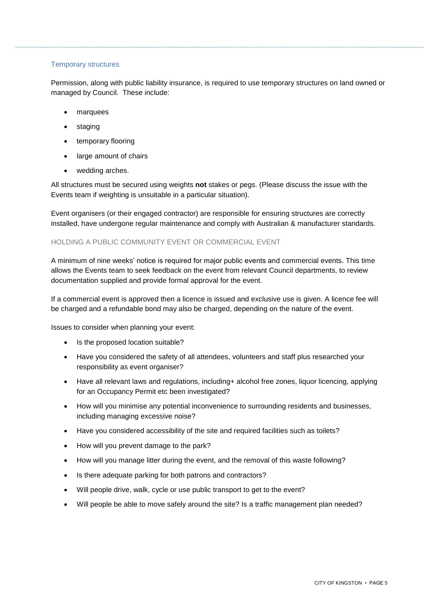#### Temporary structures

Permission, along with public liability insurance, is required to use temporary structures on land owned or managed by Council. These include:

- marquees  $\overline{\phantom{a}}$
- staging  $\overline{\phantom{a}}$
- **•** temporary flooring
- large amount of chairs  $\bullet$
- wedding arches.  $\bullet$

All structures must be secured using weights **not** stakes or pegs. (Please discuss the issue with the Events team if weighting is unsuitable in a particular situation).

Event organisers (or their engaged contractor) are responsible for ensuring structures are correctly installed, have undergone regular maintenance and comply with Australian & manufacturer standards.

#### HOLDING A PUBLIC COMMUNITY EVENT OR COMMERCIAL EVENT

<sup>A</sup> minimum of nine weeks<sup>í</sup> notice is required for major public events and commercial events. This time allows the Events team to seek feedback on the event from relevant Council departments, to review documentation supplied and provide formal approval for the event.

If a commercial event is approved then a licence is issued and exclusive use is given. A licence fee will be charged and a refundable bond may also be charged, depending on the nature of the event.

Issues to consider when planning your event:

- Is the proposed location suitable?  $\overline{\phantom{a}}$
- Have you considered the safety of all attendees, volunteers and staff plus researched your responsibility as event organiser?
- Have all relevant laws and regulations, including+ alcohol free zones, liquor licencing, applying for an Occupancy Permit etc been investigated?
- How will you minimise any potential inconvenience to surrounding residents and businesses, including managing excessive noise?
- Have you considered accessibility of the site and required facilities such as toilets?  $\overline{\phantom{a}}$
- How will you prevent damage to the park?  $\overline{\phantom{a}}$
- How will you manage litter during the event, and the removal of this waste following?  $\overline{\phantom{a}}$
- Is there adequate parking for both patrons and contractors?  $\bullet$
- Will people drive, walk, cycle or use public transport to get to the event?  $\overline{\phantom{a}}$
- Will people be able to move safely around the site? Is a traffic management plan needed?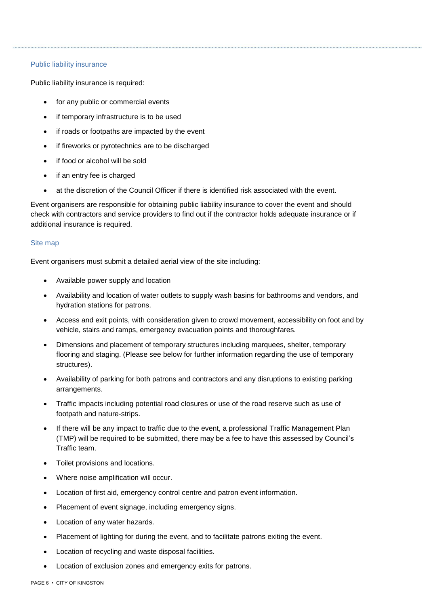#### Public liability insurance

Public liability insurance is required:

- for any public or commercial events  $\overline{\phantom{a}}$
- if temporary infrastructure is to be used  $\overline{\phantom{a}}$
- if roads or footpaths are impacted by the event
- if fireworks or pyrotechnics are to be discharged  $\overline{\phantom{a}}$
- if food or alcohol will be sold  $\overline{\phantom{a}}$
- if an entry fee is charged  $\overline{\phantom{a}}$
- at the discretion of the Council Officer if there is identified risk associated with the event.

Event organisers are responsible for obtaining public liability insurance to cover the event and should check with contractors and service providers to find out if the contractor holds adequate insurance or if additional insurance is required.

#### Site map

Event organisers must submit a detailed aerial view of the site including:

- Available power supply and location  $\overline{\phantom{a}}$
- Availability and location of water outlets to supply wash basins for bathrooms and vendors, and hydration stations for patrons.
- Access and exit points, with consideration given to crowd movement, accessibility on foot and by vehicle, stairs and ramps, emergency evacuation points and thoroughfares.
- Dimensions and placement of temporary structures including marquees, shelter, temporary flooring and staging. (Please see below for further information regarding the use of temporary structures).
- Availability of parking for both patrons and contractors and any disruptions to existing parking arrangements.
- Traffic impacts including potential road closures or use of the road reserve such as use of footpath and nature-strips.
- If there will be any impact to traffic due to the event, a professional Traffic Management Plan (TMP) will be required to be submitted, there may be <sup>a</sup> fee to have this assessed by Councilís Traffic team.
- Toilet provisions and locations.
- Where noise amplification will occur.
- Location of first aid, emergency control centre and patron event information.
- Placement of event signage, including emergency signs.
- Location of any water hazards.
- Placement of lighting for during the event, and to facilitate patrons exiting the event.
- Location of recycling and waste disposal facilities.
- Location of exclusion zones and emergency exits for patrons.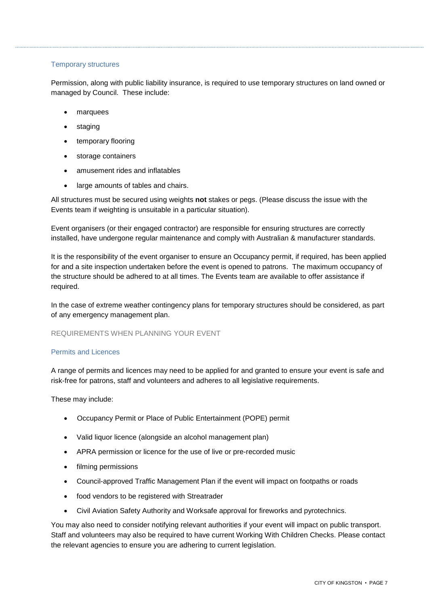#### Temporary structures

Permission, along with public liability insurance, is required to use temporary structures on land owned or managed by Council. These include:

- marquees  $\overline{\phantom{a}}$
- staging  $\overline{\phantom{a}}$
- **•** temporary flooring
- storage containers
- amusement rides and inflatables  $\overline{\phantom{a}}$
- large amounts of tables and chairs.  $\bullet$

All structures must be secured using weights **not** stakes or pegs. (Please discuss the issue with the Events team if weighting is unsuitable in a particular situation).

Event organisers (or their engaged contractor) are responsible for ensuring structures are correctly installed, have undergone regular maintenance and comply with Australian & manufacturer standards.

It is the responsibility of the event organiser to ensure an Occupancy permit, if required, has been applied for and a site inspection undertaken before the event is opened to patrons. The maximum occupancy of the structure should be adhered to at all times. The Events team are available to offer assistance if required.

In the case of extreme weather contingency plans for temporary structures should be considered, as part of any emergency management plan.

#### REQUIREMENTS WHEN PLANNING YOUR EVENT

#### Permits and Licences

A range of permits and licences may need to be applied for and granted to ensure your event is safe and risk-free for patrons, staff and volunteers and adheres to all legislative requirements.

These may include:

- Occupancy Permit or Place of Public Entertainment (POPE) permit
- Valid liquor licence (alongside an alcohol management plan)
- APRA permission or licence for the use of live or pre-recorded music
- **•** filming permissions
- Council-approved Traffic Management Plan if the event will impact on footpaths or roads
- food vendors to be registered with Streatrader
- Civil Aviation Safety Authority and Worksafe approval for fireworks and pyrotechnics.

You may also need to consider notifying relevant authorities if your event will impact on public transport. Staff and volunteers may also be required to have current Working With Children Checks. Please contact the relevant agencies to ensure you are adhering to current legislation.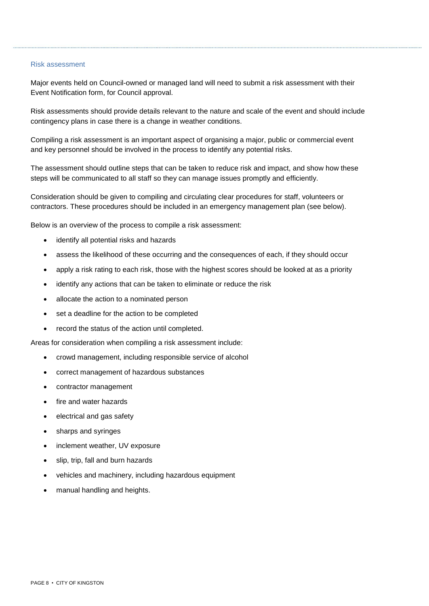#### Risk assessment

Major events held on Council-owned or managed land will need to submit a risk assessment with their Event Notification form, for Council approval.

Risk assessments should provide details relevant to the nature and scale of the event and should include contingency plans in case there is a change in weather conditions.

Compiling a risk assessment is an important aspect of organising a major, public orcommercial event and key personnel should be involved in the process to identify any potential risks.

The assessment should outline steps that can be taken to reduce risk and impact, and show how these steps will be communicated to all staff so they can manage issues promptly and efficiently.

Consideration should be given to compiling and circulating clear procedures for staff, volunteers or contractors. These procedures should be included in an emergency management plan (see below).

Below is an overview of the process to compile a risk assessment:

- identify all potential risks and hazards  $\overline{\phantom{a}}$
- assess the likelihood of these occurring and the consequences of each, if they should occur
- apply a risk rating to each risk, those with the highest scores should be looked at as a priority  $\overline{\phantom{a}}$
- identify any actions that can be taken to eliminate or reduce the risk  $\overline{\phantom{a}}$
- allocate the action to a nominated person  $\overline{\phantom{a}}$
- set a deadline for the action to be completed  $\overline{\phantom{a}}$
- record the status of the action until completed.

Areas for consideration when compiling a risk assessment include:

- crowd management, including responsible service of alcohol
- correct management of hazardous substances  $\overline{\phantom{a}}$
- contractor management
- fire and water hazards  $\overline{\phantom{a}}$
- electrical and gas safety  $\overline{\phantom{a}}$
- sharps and syringes  $\overline{\phantom{a}}$
- inclement weather, UV exposure  $\overline{\phantom{a}}$
- slip, trip, fall and burn hazards  $\overline{\phantom{a}}$
- vehicles and machinery, including hazardous equipment
- manual handling and heights.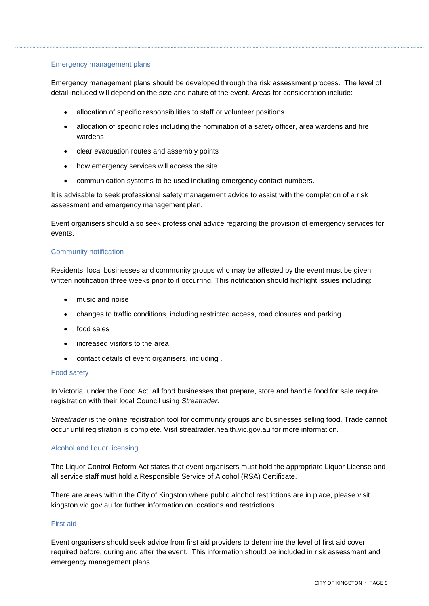#### Emergency management plans

Emergency management plans should be developed through the risk assessment process. The level of detail included will depend on the size and nature of the event. Areas for consideration include:

- allocation of specific responsibilities to staff or volunteer positions  $\overline{\phantom{a}}$
- allocation of specific roles including the nomination of a safety officer, area wardens and fire wardens
- clear evacuation routes and assembly points
- how emergency services will access the site
- communication systems to be used including emergency contact numbers.  $\bullet$

It is advisable to seek professional safety management advice to assist with the completion of a risk assessment and emergency management plan.

Event organisers should also seek professional advice regarding the provision of emergency services for events.

#### Community notification

Residents, local businesses and community groups who may be affected by the event must be given written notification three weeks prior to it occurring. This notification should highlight issues including:

- music and noise  $\overline{\phantom{a}}$
- changes to traffic conditions, including restricted access, road closures and parking
- food sales
- increased visitors to the area  $\bullet$
- contact details of event organisers, including .

#### Food safety

In Victoria, under the Food Act, all food businesses that prepare, store and handle food for sale require registration with their local Council using Streatrader.

Streatrader is the online registration tool for community groups and businesses selling food. Trade cannot occur until registration is complete. Visit streatrader.health.vic.gov.au for more information.

#### Alcohol and liquor licensing

The Liquor Control Reform Act states that event organisers must hold the appropriate Liquor License and all service staff must hold a Responsible Service of Alcohol (RSA) Certificate.

There are areas within the City of Kingston where public alcohol restrictions are in place, please visit kingston.vic.gov.au for further information on locations and restrictions.

#### First aid

Event organisers should seek advice from first aid providers to determine the level of first aid cover required before, during and after the event. This information should be included in risk assessment and emergency management plans.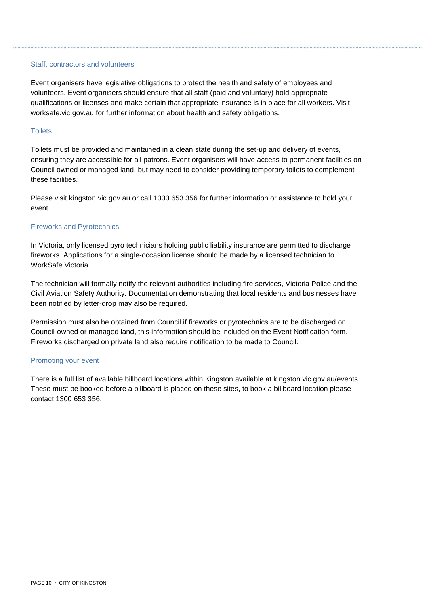#### Staff, contractors and volunteers

Event organisers have legislative obligations to protect the health and safety of employees and volunteers. Event organisers should ensure thatall staff (paid and voluntary) hold appropriate qualifications or licenses and make certain that appropriate insurance is in place for all workers. Visit worksafe.vic.gov.au for further information about health and safety obligations.

#### **Toilets**

Toilets must be provided and maintained in a clean state during the set-up and delivery of events, ensuring they are accessible for all patrons. Event organisers will have access to permanent facilities on Council owned or managed land, but may need to consider providing temporary toilets to complement these facilities.

Please visit kingston.vic.gov.au or call 1300 653 356 for further information or assistance to hold your event.

#### Fireworks and Pyrotechnics

In Victoria, only licensed pyro technicians holding public liability insurance are permitted to discharge fireworks. Applications for a single-occasion license should be made by a licensed technician to WorkSafe Victoria.

The technician will formally notify the relevant authorities including fire services, Victoria Police and the Civil Aviation Safety Authority. Documentation demonstrating that local residents and businesses have been notified by letter-drop may also be required.

Permission must also be obtained from Council if fireworks or pyrotechnics are to be discharged on Council-owned or managed land, this information should be included on the Event Notification form. Fireworks discharged on private land also require notification to be made to Council.

#### Promoting your event

There is a full list of available billboard locations within Kingston available at kingston.vic.gov.au/events. These must be booked before a billboard is placed on these sites, to book a billboard location please contact 1300 653 356.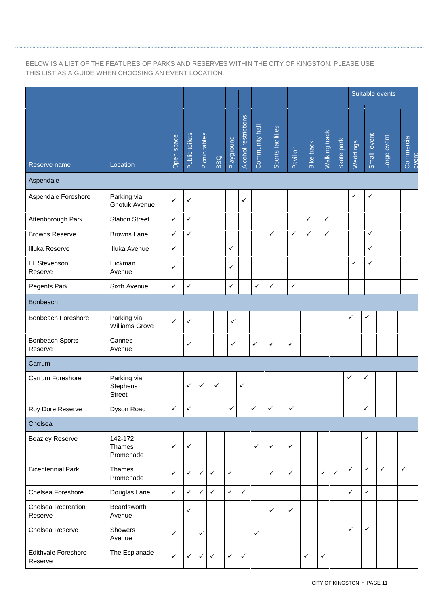#### BELOW IS A LIST OF THE FEATURES OF PARKS AND RESERVES WITHIN THE CITY OF KINGSTON. PLEASE USE THIS LIST AS A GUIDE WHEN CHOOSING AN EVENT LOCATION.

|                                       |                                          |              |                    |               |              |              |                      |                                     |                   |              |              |               |              | Suitable events |              |              |                     |  |
|---------------------------------------|------------------------------------------|--------------|--------------------|---------------|--------------|--------------|----------------------|-------------------------------------|-------------------|--------------|--------------|---------------|--------------|-----------------|--------------|--------------|---------------------|--|
| Reserve name                          | Location                                 | Open space   | Public toilets     | Picnic tables | BBQ          | Playground   | Alcohol restrictions | Community hall                      | Sports facilities | Pavilion     | Bike track   | Walking track | Skate park   | Weddings        | Small event  | Large event  | Commercial<br>event |  |
| Aspendale                             |                                          |              |                    |               |              |              |                      |                                     |                   |              |              |               |              |                 |              |              |                     |  |
| Aspendale Foreshore                   | Parking via<br><b>Gnotuk Avenue</b>      | $\checkmark$ | ✓                  |               |              |              | ✓                    |                                     |                   |              |              |               |              | $\checkmark$    | ✓            |              |                     |  |
| Attenborough Park                     | <b>Station Street</b>                    | $\checkmark$ | ✓                  |               |              |              |                      |                                     |                   |              | ✓            | $\checkmark$  |              |                 |              |              |                     |  |
| <b>Browns Reserve</b>                 | <b>Browns Lane</b>                       | $\checkmark$ | $\checkmark$       |               |              |              |                      |                                     | $\checkmark$      | $\checkmark$ | $\checkmark$ | $\checkmark$  |              |                 | $\checkmark$ |              |                     |  |
| Illuka Reserve                        | Illuka Avenue                            | $\checkmark$ |                    |               |              | $\checkmark$ |                      |                                     |                   |              |              |               |              |                 | ✓            |              |                     |  |
| LL Stevenson<br>Reserve               | Hickman<br>Avenue                        | $\checkmark$ |                    |               |              | ✓            |                      |                                     |                   |              |              |               |              | $\checkmark$    | ✓            |              |                     |  |
| Regents Park                          | Sixth Avenue                             | $\checkmark$ | ✓                  |               |              | ✓            |                      | ✓                                   | $\checkmark$      | $\checkmark$ |              |               |              |                 |              |              |                     |  |
| <b>Bonbeach</b>                       |                                          |              |                    |               |              |              |                      |                                     |                   |              |              |               |              |                 |              |              |                     |  |
| <b>Bonbeach Foreshore</b>             | Parking via<br><b>Williams Grove</b>     | $\checkmark$ | ✓                  |               |              | $\checkmark$ |                      |                                     |                   |              |              |               |              | $\checkmark$    | $\checkmark$ |              |                     |  |
| <b>Bonbeach Sports</b><br>Reserve     | Cannes<br>Avenue                         |              | ✓                  |               |              | $\checkmark$ |                      | $\checkmark$                        | $\checkmark$      | ✓            |              |               |              |                 |              |              |                     |  |
| Carrum                                |                                          |              |                    |               |              |              |                      |                                     |                   |              |              |               |              |                 |              |              |                     |  |
| Carrum Foreshore                      | Parking via<br>Stephens<br><b>Street</b> |              | ✓                  | $\checkmark$  | $\checkmark$ |              | $\checkmark$         |                                     |                   |              |              |               |              | $\checkmark$    | ✓            |              |                     |  |
| Roy Dore Reserve                      | Dyson Road                               | ✓            | $\vert \checkmark$ |               |              | $\checkmark$ |                      | $\vert \checkmark \vert \checkmark$ |                   | $\checkmark$ |              |               |              |                 | ✓            |              |                     |  |
| Chelsea                               |                                          |              |                    |               |              |              |                      |                                     |                   |              |              |               |              |                 |              |              |                     |  |
| <b>Beazley Reserve</b>                | 142-172<br>Thames<br>Promenade           | $\checkmark$ | ✓                  |               |              |              |                      | ✓                                   | $\checkmark$      | $\checkmark$ |              |               |              |                 | ✓            |              |                     |  |
| <b>Bicentennial Park</b>              | Thames<br>Promenade                      | $\checkmark$ | ✓                  | ✓             | $\checkmark$ | $\checkmark$ |                      |                                     | $\checkmark$      | $\checkmark$ |              | $\checkmark$  | $\checkmark$ | $\checkmark$    | $\checkmark$ | $\checkmark$ | $\checkmark$        |  |
| Chelsea Foreshore                     | Douglas Lane                             | $\checkmark$ | $\checkmark$       | $\checkmark$  | $\checkmark$ | $\checkmark$ | $\checkmark$         |                                     |                   |              |              |               |              | $\checkmark$    | $\checkmark$ |              |                     |  |
| Chelsea Recreation<br>Reserve         | Beardsworth<br>Avenue                    |              | ✓                  |               |              |              |                      |                                     | $\checkmark$      | $\checkmark$ |              |               |              |                 |              |              |                     |  |
| Chelsea Reserve                       | Showers<br>Avenue                        | $\checkmark$ |                    | $\checkmark$  |              |              |                      | $\checkmark$                        |                   |              |              |               |              | $\checkmark$    | $\checkmark$ |              |                     |  |
| <b>Edithvale Foreshore</b><br>Reserve | The Esplanade                            | $\checkmark$ | ✓                  | ✓             | ✓            | $\checkmark$ | $\checkmark$         |                                     |                   |              | ✓            | ✓             |              |                 |              |              |                     |  |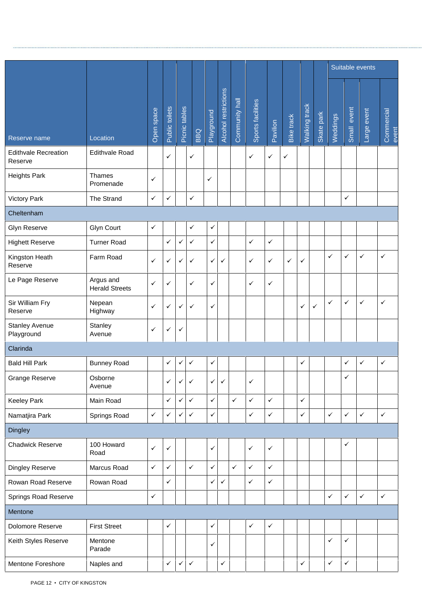|                                        |                                    |              |                |               |              |              |                      |                |                   |              |              |                      |              | Suitable events |              |              |                     |  |
|----------------------------------------|------------------------------------|--------------|----------------|---------------|--------------|--------------|----------------------|----------------|-------------------|--------------|--------------|----------------------|--------------|-----------------|--------------|--------------|---------------------|--|
| Reserve name                           | Location                           | Open space   | Public toilets | Picnic tables | <b>DBG</b>   | Playground   | Alcohol restrictions | Community hall | Sports facilities | Pavilion     | Bike track   | <b>Walking track</b> | Skate park   | Weddings        | Small event  | Large event  | Commercial<br>event |  |
| <b>Edithvale Recreation</b><br>Reserve | <b>Edithvale Road</b>              |              | $\checkmark$   |               | ✓            |              |                      |                | $\checkmark$      | ✓            | $\checkmark$ |                      |              |                 |              |              |                     |  |
| <b>Heights Park</b>                    | <b>Thames</b><br>Promenade         | ✓            |                |               |              | ✓            |                      |                |                   |              |              |                      |              |                 |              |              |                     |  |
| <b>Victory Park</b>                    | The Strand                         | $\checkmark$ | $\checkmark$   |               | $\checkmark$ |              |                      |                |                   |              |              |                      |              |                 | $\checkmark$ |              |                     |  |
| Cheltenham                             |                                    |              |                |               |              |              |                      |                |                   |              |              |                      |              |                 |              |              |                     |  |
| <b>Glyn Reserve</b>                    | <b>Glyn Court</b>                  | $\checkmark$ |                |               | $\checkmark$ | $\checkmark$ |                      |                |                   |              |              |                      |              |                 |              |              |                     |  |
| <b>Highett Reserve</b>                 | <b>Turner Road</b>                 |              | $\checkmark$   | ✓             | $\checkmark$ | $\checkmark$ |                      |                | $\checkmark$      | $\checkmark$ |              |                      |              |                 |              |              |                     |  |
| Kingston Heath<br>Reserve              | Farm Road                          | ✓            | $\checkmark$   | ✓             | $\checkmark$ | $\checkmark$ | $\checkmark$         |                | $\checkmark$      | ✓            | $\checkmark$ | ✓                    |              | $\checkmark$    | $\checkmark$ | $\checkmark$ | $\checkmark$        |  |
| Le Page Reserve                        | Argus and<br><b>Herald Streets</b> | ✓            | $\checkmark$   |               | ✓            | $\checkmark$ |                      |                | ✓                 | ✓            |              |                      |              |                 |              |              |                     |  |
| Sir William Fry<br>Reserve             | Nepean<br>Highway                  | ✓            | $\checkmark$   | ✓             | ✓            | $\checkmark$ |                      |                |                   |              |              | ✓                    | $\checkmark$ | $\checkmark$    | $\checkmark$ | $\checkmark$ | $\checkmark$        |  |
| <b>Stanley Avenue</b><br>Playground    | Stanley<br>Avenue                  | ✓            | $\checkmark$   | ✓             |              |              |                      |                |                   |              |              |                      |              |                 |              |              |                     |  |
| Clarinda                               |                                    |              |                |               |              |              |                      |                |                   |              |              |                      |              |                 |              |              |                     |  |
| <b>Bald Hill Park</b>                  | <b>Bunney Road</b>                 |              | $\checkmark$   | ✓             | $\checkmark$ | $\checkmark$ |                      |                |                   |              |              | $\checkmark$         |              |                 | $\checkmark$ | $\checkmark$ | $\checkmark$        |  |
| Grange Reserve                         | Osborne<br>Avenue                  |              | ✓              | ✓             | ✓            | ✓            | ✓                    |                | $\checkmark$      |              |              |                      |              |                 | $\checkmark$ |              |                     |  |
| <b>Keeley Park</b>                     | Main Road                          |              | $\checkmark$   | ✓             | $\checkmark$ | $\checkmark$ |                      | $\checkmark$   | $\checkmark$      | ✓            |              | $\checkmark$         |              |                 |              |              |                     |  |
| Namatjira Park                         | Springs Road                       | $\checkmark$ | $\checkmark$   | ✓             | $\checkmark$ | $\checkmark$ |                      |                | $\checkmark$      | $\checkmark$ |              | $\checkmark$         |              | $\checkmark$    | $\checkmark$ | $\checkmark$ | $\checkmark$        |  |
| <b>Dingley</b>                         |                                    |              |                |               |              |              |                      |                |                   |              |              |                      |              |                 |              |              |                     |  |
| <b>Chadwick Reserve</b>                | 100 Howard<br>Road                 | $\checkmark$ | $\checkmark$   |               |              | $\checkmark$ |                      |                | $\checkmark$      | ✓            |              |                      |              |                 | $\checkmark$ |              |                     |  |
| Dingley Reserve                        | Marcus Road                        | $\checkmark$ | $\checkmark$   |               | $\checkmark$ | $\checkmark$ |                      | $\checkmark$   | $\checkmark$      | $\checkmark$ |              |                      |              |                 |              |              |                     |  |
| Rowan Road Reserve                     | Rowan Road                         |              | $\checkmark$   |               |              | $\checkmark$ | $\checkmark$         |                | $\checkmark$      | $\checkmark$ |              |                      |              |                 |              |              |                     |  |
| <b>Springs Road Reserve</b>            |                                    | ✓            |                |               |              |              |                      |                |                   |              |              |                      |              | $\checkmark$    | $\checkmark$ | $\checkmark$ | $\checkmark$        |  |
| Mentone                                |                                    |              |                |               |              |              |                      |                |                   |              |              |                      |              |                 |              |              |                     |  |
| Dolomore Reserve                       | <b>First Street</b>                |              | $\checkmark$   |               |              | $\checkmark$ |                      |                | $\checkmark$      | $\checkmark$ |              |                      |              |                 |              |              |                     |  |
| Keith Styles Reserve                   | Mentone<br>Parade                  |              |                |               |              | $\checkmark$ |                      |                |                   |              |              |                      |              | $\checkmark$    | $\checkmark$ |              |                     |  |
| Mentone Foreshore                      | Naples and                         |              | $\checkmark$   | ✓             | $\checkmark$ |              | $\checkmark$         |                |                   |              |              | $\checkmark$         |              | $\checkmark$    | $\checkmark$ |              |                     |  |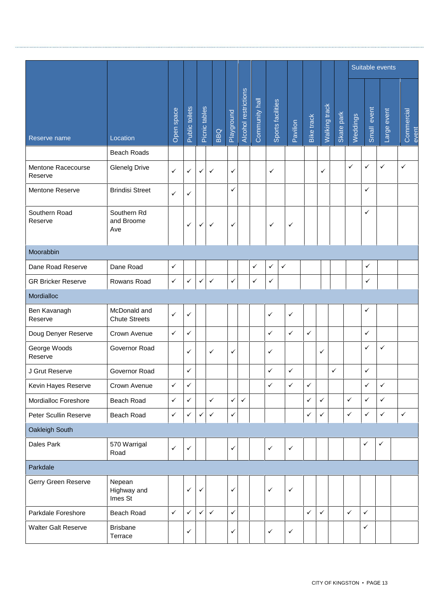|                               |                                      |              |                |               |              |              |                      | Suitable events |                              |              |              |               |            |              |              |                |                     |
|-------------------------------|--------------------------------------|--------------|----------------|---------------|--------------|--------------|----------------------|-----------------|------------------------------|--------------|--------------|---------------|------------|--------------|--------------|----------------|---------------------|
| Reserve name                  | Location                             | Open space   | Public toilets | Picnic tables | BBQ          | Playground   | Alcohol restrictions | Community hall  | Sports facilities            | Pavilion     | Bike track   | Walking track | Skate park | Weddings     | Small event  | event<br>Large | Commercial<br>event |
|                               | <b>Beach Roads</b>                   |              |                |               |              |              |                      |                 |                              |              |              |               |            |              |              |                |                     |
| Mentone Racecourse<br>Reserve | <b>Glenelg Drive</b>                 | $\checkmark$ | ✓              | $\checkmark$  | $\checkmark$ | ✓            |                      |                 | ✓                            |              |              | $\checkmark$  |            | $\checkmark$ | ✓            | $\checkmark$   | $\checkmark$        |
| Mentone Reserve               | <b>Brindisi Street</b>               | $\checkmark$ | ✓              |               |              | ✓            |                      |                 |                              |              |              |               |            |              | ✓            |                |                     |
| Southern Road<br>Reserve      | Southern Rd<br>and Broome<br>Ave     |              | ✓              | $\checkmark$  | ✓            | ✓            |                      |                 | ✓                            | $\checkmark$ |              |               |            |              | ✓            |                |                     |
| Moorabbin                     |                                      |              |                |               |              |              |                      |                 |                              |              |              |               |            |              |              |                |                     |
| Dane Road Reserve             | Dane Road                            | $\checkmark$ |                |               |              |              |                      | $\checkmark$    | $\checkmark$<br>$\checkmark$ |              |              |               |            |              | $\checkmark$ |                |                     |
| <b>GR Bricker Reserve</b>     | Rowans Road                          | $\checkmark$ | ✓              | $\checkmark$  | $\checkmark$ | $\checkmark$ |                      | $\checkmark$    | $\checkmark$                 |              |              |               |            |              | $\checkmark$ |                |                     |
| Mordialloc                    |                                      |              |                |               |              |              |                      |                 |                              |              |              |               |            |              |              |                |                     |
| Ben Kavanagh<br>Reserve       | McDonald and<br><b>Chute Streets</b> | $\checkmark$ | ✓              |               |              |              |                      |                 | $\checkmark$                 | $\checkmark$ |              |               |            |              | ✓            |                |                     |
| Doug Denyer Reserve           | Crown Avenue                         | $\checkmark$ | $\checkmark$   |               |              |              |                      |                 | $\checkmark$                 | $\checkmark$ | $\checkmark$ |               |            |              | ✓            |                |                     |
| George Woods<br>Reserve       | Governor Road                        |              | ✓              |               | ✓            | ✓            |                      |                 | $\checkmark$                 |              |              | $\checkmark$  |            |              | ✓            | $\checkmark$   |                     |
| J Grut Reserve                | Governor Road                        |              | ✓              |               |              |              |                      |                 | $\checkmark$                 | $\checkmark$ |              |               | ✓          |              | ✓            |                |                     |
| Kevin Hayes Reserve           | Crown Avenue                         | $\checkmark$ | ✓              |               |              |              |                      |                 | $\checkmark$                 | $\checkmark$ | $\checkmark$ |               |            |              | ✓            | ✓              |                     |
| Mordialloc Foreshore          | Beach Road                           | $\checkmark$ | $\checkmark$   |               | $\checkmark$ | $\checkmark$ | $\checkmark$         |                 |                              |              | $\checkmark$ | $\checkmark$  |            | $\checkmark$ | ✓            | $\checkmark$   |                     |
| Peter Scullin Reserve         | Beach Road                           | $\checkmark$ | $\checkmark$   | $\checkmark$  | $\checkmark$ | $\checkmark$ |                      |                 |                              |              | $\checkmark$ | $\checkmark$  |            | $\checkmark$ | $\checkmark$ | $\checkmark$   | $\checkmark$        |
| Oakleigh South                |                                      |              |                |               |              |              |                      |                 |                              |              |              |               |            |              |              |                |                     |
| Dales Park                    | 570 Warrigal<br>Road                 | $\checkmark$ | $\checkmark$   |               |              | ✓            |                      |                 | $\checkmark$                 | $\checkmark$ |              |               |            |              | ✓            | $\checkmark$   |                     |
| Parkdale                      |                                      |              |                |               |              |              |                      |                 |                              |              |              |               |            |              |              |                |                     |
| Gerry Green Reserve           | Nepean<br>Highway and<br>Imes St     |              | ✓              | $\checkmark$  |              | $\checkmark$ |                      |                 | $\checkmark$                 | $\checkmark$ |              |               |            |              |              |                |                     |
| Parkdale Foreshore            | Beach Road                           | $\checkmark$ | $\checkmark$   | $\checkmark$  | $\checkmark$ | $\checkmark$ |                      |                 |                              |              | $\checkmark$ | $\checkmark$  |            | $\checkmark$ | $\checkmark$ |                |                     |
| <b>Walter Galt Reserve</b>    | <b>Brisbane</b><br>Terrace           |              | ✓              |               |              | ✓            |                      |                 | $\checkmark$                 | $\checkmark$ |              |               |            |              | $\checkmark$ |                |                     |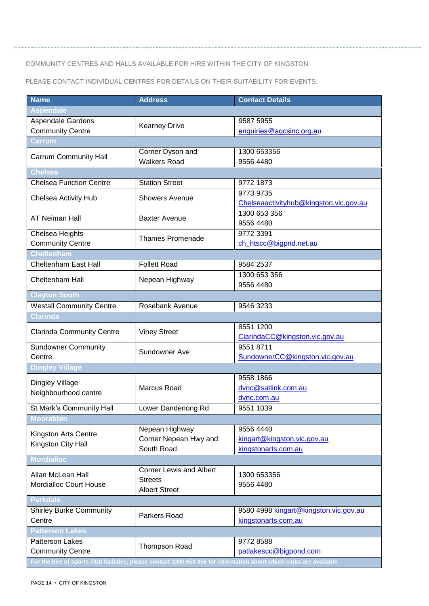#### COMMUNITY CENTRES AND HALLS AVAILABLE FOR HIRE WITHIN THE CITY OF KINGSTON.

..................................

PLEASE CONTACT INDIVIDUAL CENTRES FOR DETAILS ON THEIR SUITABILITY FOR EVENTS.

| <b>Name</b>                      | <b>Address</b>                 | <b>Contact Details</b>                                                                                               |  |  |  |  |  |  |  |
|----------------------------------|--------------------------------|----------------------------------------------------------------------------------------------------------------------|--|--|--|--|--|--|--|
| <b>Aspendale</b>                 |                                |                                                                                                                      |  |  |  |  |  |  |  |
| Aspendale Gardens                |                                | 9587 5955                                                                                                            |  |  |  |  |  |  |  |
| <b>Community Centre</b>          | <b>Kearney Drive</b>           | enquiries@agcsinc.org.au                                                                                             |  |  |  |  |  |  |  |
| <b>Carrum</b>                    |                                |                                                                                                                      |  |  |  |  |  |  |  |
| <b>Carrum Community Hall</b>     | Corner Dyson and               | 1300 653356                                                                                                          |  |  |  |  |  |  |  |
|                                  | <b>Walkers Road</b>            | 9556 4480                                                                                                            |  |  |  |  |  |  |  |
| <b>Chelsea</b>                   |                                |                                                                                                                      |  |  |  |  |  |  |  |
| <b>Chelsea Function Centre</b>   | <b>Station Street</b>          | 9772 1873                                                                                                            |  |  |  |  |  |  |  |
| Chelsea Activity Hub             | <b>Showers Avenue</b>          | 9773 9735                                                                                                            |  |  |  |  |  |  |  |
|                                  |                                | Chelseaactivityhub@kingston.vic.gov.au                                                                               |  |  |  |  |  |  |  |
| <b>AT Neiman Hall</b>            | <b>Baxter Avenue</b>           | 1300 653 356                                                                                                         |  |  |  |  |  |  |  |
|                                  |                                | 9556 4480                                                                                                            |  |  |  |  |  |  |  |
| Chelsea Heights                  | <b>Thames Promenade</b>        | 9772 3391                                                                                                            |  |  |  |  |  |  |  |
| <b>Community Centre</b>          |                                | ch htscc@bigpnd.net.au                                                                                               |  |  |  |  |  |  |  |
| <b>Cheltenham</b>                |                                |                                                                                                                      |  |  |  |  |  |  |  |
| Cheltenham East Hall             | <b>Follett Road</b>            | 9584 2537                                                                                                            |  |  |  |  |  |  |  |
| Cheltenham Hall                  | Nepean Highway                 | 1300 653 356                                                                                                         |  |  |  |  |  |  |  |
|                                  |                                | 9556 4480                                                                                                            |  |  |  |  |  |  |  |
| <b>Clayton South</b>             |                                |                                                                                                                      |  |  |  |  |  |  |  |
| <b>Westall Community Centre</b>  | Rosebank Avenue                | 9546 3233                                                                                                            |  |  |  |  |  |  |  |
| <b>Clarinda</b>                  |                                |                                                                                                                      |  |  |  |  |  |  |  |
| <b>Clarinda Community Centre</b> | <b>Viney Street</b>            | 8551 1200                                                                                                            |  |  |  |  |  |  |  |
|                                  |                                | ClarindaCC@kingston.vic.gov.au                                                                                       |  |  |  |  |  |  |  |
| <b>Sundowner Community</b>       | Sundowner Ave                  | 9551 8711                                                                                                            |  |  |  |  |  |  |  |
| Centre                           |                                | SundownerCC@kingston.vic.gov.au                                                                                      |  |  |  |  |  |  |  |
| <b>Dingley Village</b>           |                                |                                                                                                                      |  |  |  |  |  |  |  |
| Dingley Village                  |                                | 9558 1866                                                                                                            |  |  |  |  |  |  |  |
| Neighbourhood centre             | Marcus Road                    | dvnc@satlink.com.au                                                                                                  |  |  |  |  |  |  |  |
|                                  |                                | dvnc.com.au                                                                                                          |  |  |  |  |  |  |  |
| St Mark's Community Hall         | Lower Dandenong Rd             | 9551 1039                                                                                                            |  |  |  |  |  |  |  |
| <b>Moorabbin</b>                 |                                |                                                                                                                      |  |  |  |  |  |  |  |
| Kingston Arts Centre             | Nepean Highway                 | 9556 4440                                                                                                            |  |  |  |  |  |  |  |
| Kingston City Hall               | Corner Nepean Hwy and          | kingart@kingston.vic.gov.au                                                                                          |  |  |  |  |  |  |  |
|                                  | South Road                     | kingstonarts.com.au                                                                                                  |  |  |  |  |  |  |  |
| <b>Mordialloc</b>                |                                |                                                                                                                      |  |  |  |  |  |  |  |
| Allan McLean Hall                | <b>Corner Lewis and Albert</b> | 1300 653356                                                                                                          |  |  |  |  |  |  |  |
| <b>Mordialloc Court House</b>    | <b>Streets</b>                 | 9556 4480                                                                                                            |  |  |  |  |  |  |  |
|                                  | <b>Albert Street</b>           |                                                                                                                      |  |  |  |  |  |  |  |
| <b>Parkdale</b>                  |                                |                                                                                                                      |  |  |  |  |  |  |  |
| <b>Shirley Burke Community</b>   | Parkers Road                   | 9580 4998 kingart@kingston.vic.gov.au                                                                                |  |  |  |  |  |  |  |
| Centre                           |                                | kingstonarts.com.au                                                                                                  |  |  |  |  |  |  |  |
| <b>Patterson Lakes</b>           |                                |                                                                                                                      |  |  |  |  |  |  |  |
| Patterson Lakes                  | Thompson Road                  | 9772 8588                                                                                                            |  |  |  |  |  |  |  |
| <b>Community Centre</b>          |                                | patlakescc@bigpond.com                                                                                               |  |  |  |  |  |  |  |
|                                  |                                | For the hire of sports club facilities, please contact 1300 653 356 for information about which clubs are available. |  |  |  |  |  |  |  |